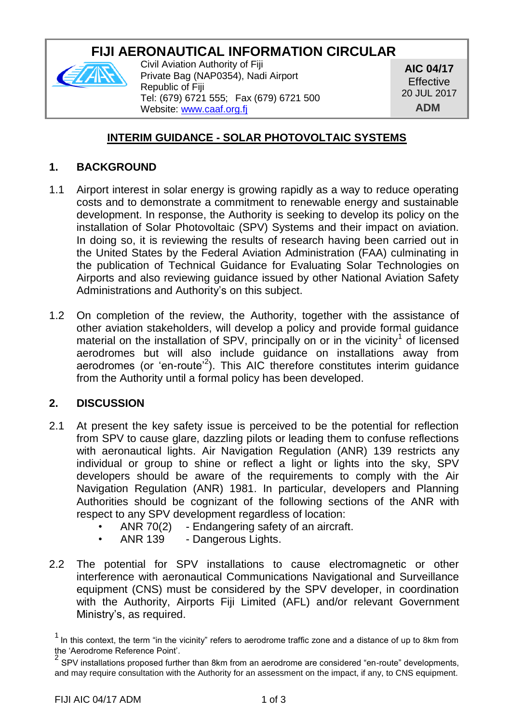# **FIJI AERONAUTICAL INFORMATION CIRCULAR**



Civil Aviation Authority of Fiji Private Bag (NAP0354), Nadi Airport Republic of Fiji Tel: (679) 6721 555; Fax (679) 6721 500 Website: [www.caaf.org.fj](http://www.caaf.org.fj/)

**AIC 04/17 Effective** 20 JUL 2017 **ADM**

# **INTERIM GUIDANCE - SOLAR PHOTOVOLTAIC SYSTEMS**

### **1. BACKGROUND**

- 1.1 Airport interest in solar energy is growing rapidly as a way to reduce operating costs and to demonstrate a commitment to renewable energy and sustainable development. In response, the Authority is seeking to develop its policy on the installation of Solar Photovoltaic (SPV) Systems and their impact on aviation. In doing so, it is reviewing the results of research having been carried out in the United States by the Federal Aviation Administration (FAA) culminating in the publication of Technical Guidance for Evaluating Solar Technologies on Airports and also reviewing guidance issued by other National Aviation Safety Administrations and Authority's on this subject.
- 1.2 On completion of the review, the Authority, together with the assistance of other aviation stakeholders, will develop a policy and provide formal guidance material on the installation of SPV, principally on or in the vicinity<sup>1</sup> of licensed aerodromes but will also include guidance on installations away from aerodromes (or 'en-route<sup>2</sup>). This AIC therefore constitutes interim guidance from the Authority until a formal policy has been developed.

# **2. DISCUSSION**

- 2.1 At present the key safety issue is perceived to be the potential for reflection from SPV to cause glare, dazzling pilots or leading them to confuse reflections with aeronautical lights. Air Navigation Regulation (ANR) 139 restricts any individual or group to shine or reflect a light or lights into the sky, SPV developers should be aware of the requirements to comply with the Air Navigation Regulation (ANR) 1981. In particular, developers and Planning Authorities should be cognizant of the following sections of the ANR with respect to any SPV development regardless of location:
	- ANR 70(2) Endangering safety of an aircraft.
	- ANR 139 Dangerous Lights.
- 2.2 The potential for SPV installations to cause electromagnetic or other interference with aeronautical Communications Navigational and Surveillance equipment (CNS) must be considered by the SPV developer, in coordination with the Authority, Airports Fiji Limited (AFL) and/or relevant Government Ministry's, as required.

<sup>1</sup> In this context, the term "in the vicinity" refers to aerodrome traffic zone and a distance of up to 8km from

the 'Aerodrome Reference Point'.<br><sup>2</sup> SPV installations proposed further than 8km from an aerodrome are considered "en-route" developments, and may require consultation with the Authority for an assessment on the impact, if any, to CNS equipment.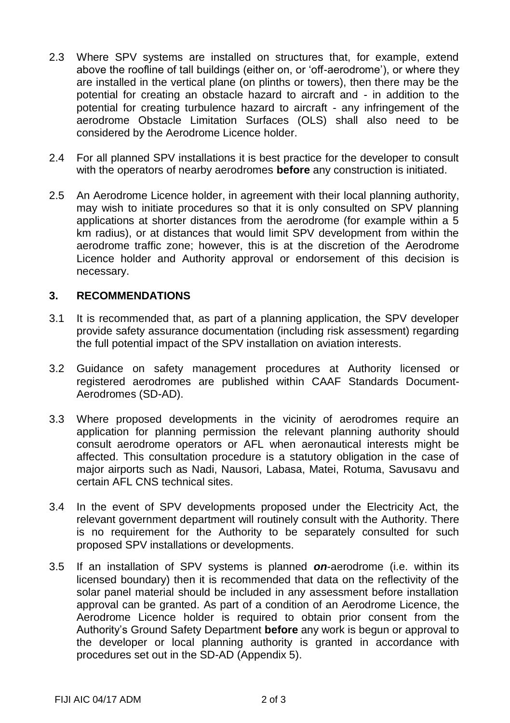- 2.3 Where SPV systems are installed on structures that, for example, extend above the roofline of tall buildings (either on, or 'off-aerodrome'), or where they are installed in the vertical plane (on plinths or towers), then there may be the potential for creating an obstacle hazard to aircraft and - in addition to the potential for creating turbulence hazard to aircraft - any infringement of the aerodrome Obstacle Limitation Surfaces (OLS) shall also need to be considered by the Aerodrome Licence holder.
- 2.4 For all planned SPV installations it is best practice for the developer to consult with the operators of nearby aerodromes **before** any construction is initiated.
- 2.5 An Aerodrome Licence holder, in agreement with their local planning authority, may wish to initiate procedures so that it is only consulted on SPV planning applications at shorter distances from the aerodrome (for example within a 5 km radius), or at distances that would limit SPV development from within the aerodrome traffic zone; however, this is at the discretion of the Aerodrome Licence holder and Authority approval or endorsement of this decision is necessary.

#### **3. RECOMMENDATIONS**

- 3.1 It is recommended that, as part of a planning application, the SPV developer provide safety assurance documentation (including risk assessment) regarding the full potential impact of the SPV installation on aviation interests.
- 3.2 Guidance on safety management procedures at Authority licensed or registered aerodromes are published within CAAF Standards Document-Aerodromes (SD-AD).
- 3.3 Where proposed developments in the vicinity of aerodromes require an application for planning permission the relevant planning authority should consult aerodrome operators or AFL when aeronautical interests might be affected. This consultation procedure is a statutory obligation in the case of major airports such as Nadi, Nausori, Labasa, Matei, Rotuma, Savusavu and certain AFL CNS technical sites.
- 3.4 In the event of SPV developments proposed under the Electricity Act, the relevant government department will routinely consult with the Authority. There is no requirement for the Authority to be separately consulted for such proposed SPV installations or developments.
- 3.5 If an installation of SPV systems is planned *on*-aerodrome (i.e. within its licensed boundary) then it is recommended that data on the reflectivity of the solar panel material should be included in any assessment before installation approval can be granted. As part of a condition of an Aerodrome Licence, the Aerodrome Licence holder is required to obtain prior consent from the Authority's Ground Safety Department **before** any work is begun or approval to the developer or local planning authority is granted in accordance with procedures set out in the SD-AD (Appendix 5).